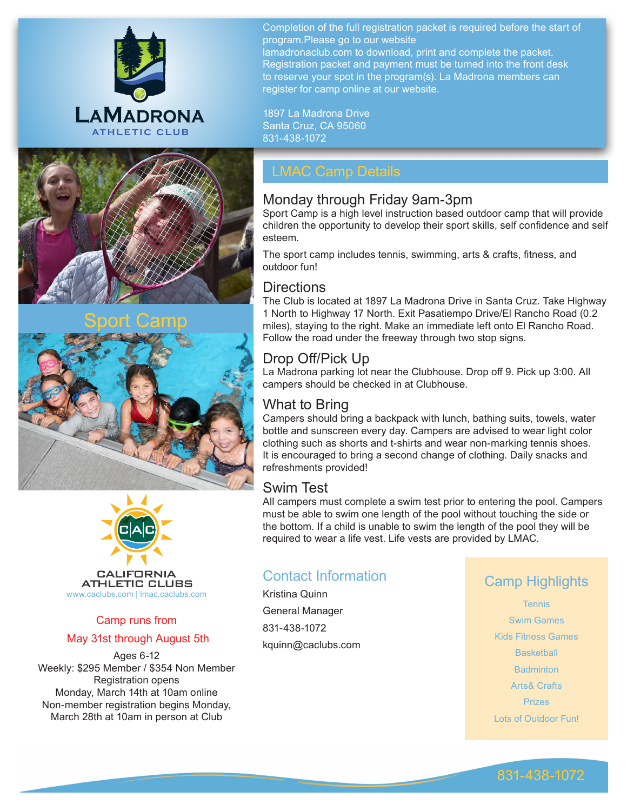

Completion of the full registration packet is required before the start of program.Please go to our website lamadronaclub.com to download, print and complete the packet. Registration packet and payment must be turned into the front desk to reserve your spot in the program(s). La Madrona members can register for camp online at our website.

1897 La Madrona Drive Santa Cruz, CA 95060 831-438-1072

## Monday through Friday 9am-3pm

Sport Camp is a high level instruction based outdoor camp that will provide children the opportunity to develop their sport skills, self confidence and self esteem.

The sport camp includes tennis, swimming, arts & crafts, fitness, and outdoor fun!

## **Directions**

The Club is located at 1897 La Madrona Drive in Santa Cruz. Take Highway 1 North to Highway 17 North. Exit Pasatiempo Drive/El Rancho Road (0.2 miles), staying to the right. Make an immediate left onto El Rancho Road. Follow the road under the freeway through two stop signs.

## Drop Off/Pick Up

La Madrona parking lot near the Clubhouse. Drop off 9. Pick up 3:00. All campers should be checked in at Clubhouse.

## What to Bring

Campers should bring a backpack with lunch, bathing suits, towels, water bottle and sunscreen every day. Campers are advised to wear light color clothing such as shorts and t-shirts and wear non-marking tennis shoes. It is encouraged to bring a second change of clothing. Daily snacks and refreshments provided!

## Swim Test

All campers must complete a swim test prior to entering the pool. Campers must be able to swim one length of the pool without touching the side or the bottom. If a child is unable to swim the length of the pool they will be required to wear a life vest. Life vests are provided by LMAC.

## Contact Information

Kristina Quinn General Manager 831-438-1072 kquinn@caclubs.com

## Camp Highlights

**Tennis** Swim Games Kids Fitness Games **Basketball Badminton** Arts& Crafts Prizes Lots of Outdoor Fun!



# Sport Camp





## Camp runs from May 31st through August 5th

Ages 6-12 Weekly: \$295 Member / \$354 Non Member Registration opens Monday, March 14th at 10am online Non-member registration begins Monday, March 28th at 10am in person at Club

## 831-438-1072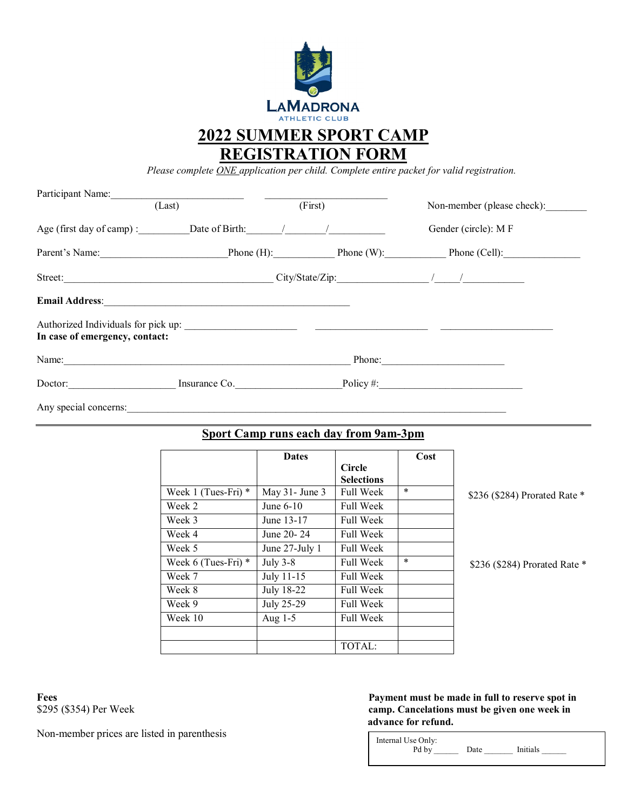

**2022 SUMMER SPORT CAMP REGISTRATION FORM**

*Please complete ONE application per child. Complete entire packet for valid registration.*

| Participant Name:              |                                 |         |                                                    |  |
|--------------------------------|---------------------------------|---------|----------------------------------------------------|--|
|                                | (Last)                          | (First) | Non-member (please check):                         |  |
|                                |                                 |         | Gender (circle): MF                                |  |
|                                |                                 |         | Parent's Name: Phone (H): Phone (W): Phone (Cell): |  |
|                                |                                 |         |                                                    |  |
|                                |                                 |         |                                                    |  |
|                                |                                 |         |                                                    |  |
| In case of emergency, contact: |                                 |         |                                                    |  |
| Name:                          |                                 |         | Phone:                                             |  |
|                                | Doctor: Insurance Co. Policy #: |         |                                                    |  |
| Any special concerns:          |                                 |         |                                                    |  |

## **Sport Camp runs each day from 9am-3pm**

|                         | <b>Dates</b>        |                   | Cost   |                               |
|-------------------------|---------------------|-------------------|--------|-------------------------------|
|                         |                     | <b>Circle</b>     |        |                               |
|                         |                     | <b>Selections</b> |        |                               |
| Week 1 (Tues-Fri) $*$   | May $31$ - June $3$ | <b>Full Week</b>  | $\ast$ | \$236 (\$284) Prorated Rate * |
| Week 2                  | June $6-10$         | <b>Full Week</b>  |        |                               |
| Week 3                  | June 13-17          | <b>Full Week</b>  |        |                               |
| Week 4                  | June 20 - 24        | <b>Full Week</b>  |        |                               |
| Week 5                  | June $27$ -July 1   | <b>Full Week</b>  |        |                               |
| Week $6$ (Tues-Fri) $*$ | July $3-8$          | <b>Full Week</b>  | $\ast$ | \$236 (\$284) Prorated Rate * |
| Week 7                  | July 11-15          | <b>Full Week</b>  |        |                               |
| Week 8                  | July 18-22          | <b>Full Week</b>  |        |                               |
| Week 9                  | July 25-29          | <b>Full Week</b>  |        |                               |
| Week 10                 | Aug $1-5$           | <b>Full Week</b>  |        |                               |
|                         |                     |                   |        |                               |
|                         |                     | TOTAL:            |        |                               |

L

Non-member prices are listed in parenthesis

### **Fees Payment must be made in full to reserve spot in**<br>\$295 (\$354) Per Week **payment must be made in full to reserve spot in**<br>**Cancelations must be given one week in** camp. Cancelations must be given one week in  **advance for refund.**

| Initials<br>Pd by<br>Date |
|---------------------------|
|---------------------------|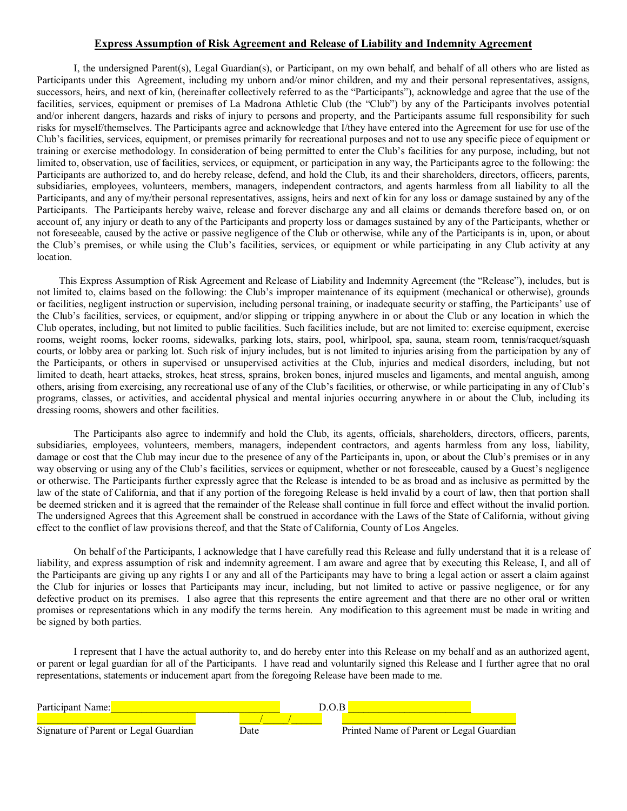### **Express Assumption of Risk Agreement and Release of Liability and Indemnity Agreement**

I, the undersigned Parent(s), Legal Guardian(s), or Participant, on my own behalf, and behalf of all others who are listed as Participants under this Agreement, including my unborn and/or minor children, and my and their personal representatives, assigns, successors, heirs, and next of kin, (hereinafter collectively referred to as the "Participants"), acknowledge and agree that the use of the facilities, services, equipment or premises of La Madrona Athletic Club (the "Club") by any of the Participants involves potential and/or inherent dangers, hazards and risks of injury to persons and property, and the Participants assume full responsibility for such risks for myself/themselves. The Participants agree and acknowledge that I/they have entered into the Agreement for use for use of the Club's facilities, services, equipment, or premises primarily for recreational purposes and not to use any specific piece of equipment or training or exercise methodology. In consideration of being permitted to enter the Club's facilities for any purpose, including, but not limited to, observation, use of facilities, services, or equipment, or participation in any way, the Participants agree to the following: the Participants are authorized to, and do hereby release, defend, and hold the Club, its and their shareholders, directors, officers, parents, subsidiaries, employees, volunteers, members, managers, independent contractors, and agents harmless from all liability to all the Participants, and any of my/their personal representatives, assigns, heirs and next of kin for any loss or damage sustained by any of the Participants. The Participants hereby waive, release and forever discharge any and all claims or demands therefore based on, or on account of, any injury or death to any of the Participants and property loss or damages sustained by any of the Participants, whether or not foreseeable, caused by the active or passive negligence of the Club or otherwise, while any of the Participants is in, upon, or about the Club's premises, or while using the Club's facilities, services, or equipment or while participating in any Club activity at any location.

This Express Assumption of Risk Agreement and Release of Liability and Indemnity Agreement (the "Release"), includes, but is not limited to, claims based on the following: the Club's improper maintenance of its equipment (mechanical or otherwise), grounds or facilities, negligent instruction or supervision, including personal training, or inadequate security or staffing, the Participants' use of the Club's facilities, services, or equipment, and/or slipping or tripping anywhere in or about the Club or any location in which the Club operates, including, but not limited to public facilities. Such facilities include, but are not limited to: exercise equipment, exercise rooms, weight rooms, locker rooms, sidewalks, parking lots, stairs, pool, whirlpool, spa, sauna, steam room, tennis/racquet/squash courts, or lobby area or parking lot. Such risk of injury includes, but is not limited to injuries arising from the participation by any of the Participants, or others in supervised or unsupervised activities at the Club, injuries and medical disorders, including, but not limited to death, heart attacks, strokes, heat stress, sprains, broken bones, injured muscles and ligaments, and mental anguish, among others, arising from exercising, any recreational use of any of the Club's facilities, or otherwise, or while participating in any of Club's programs, classes, or activities, and accidental physical and mental injuries occurring anywhere in or about the Club, including its dressing rooms, showers and other facilities.

The Participants also agree to indemnify and hold the Club, its agents, officials, shareholders, directors, officers, parents, subsidiaries, employees, volunteers, members, managers, independent contractors, and agents harmless from any loss, liability, damage or cost that the Club may incur due to the presence of any of the Participants in, upon, or about the Club's premises or in any way observing or using any of the Club's facilities, services or equipment, whether or not foreseeable, caused by a Guest's negligence or otherwise. The Participants further expressly agree that the Release is intended to be as broad and as inclusive as permitted by the law of the state of California, and that if any portion of the foregoing Release is held invalid by a court of law, then that portion shall be deemed stricken and it is agreed that the remainder of the Release shall continue in full force and effect without the invalid portion. The undersigned Agrees that this Agreement shall be construed in accordance with the Laws of the State of California, without giving effect to the conflict of law provisions thereof, and that the State of California, County of Los Angeles.

On behalf of the Participants, I acknowledge that I have carefully read this Release and fully understand that it is a release of liability, and express assumption of risk and indemnity agreement. I am aware and agree that by executing this Release, I, and all of the Participants are giving up any rights I or any and all of the Participants may have to bring a legal action or assert a claim against the Club for injuries or losses that Participants may incur, including, but not limited to active or passive negligence, or for any defective product on its premises. I also agree that this represents the entire agreement and that there are no other oral or written promises or representations which in any modify the terms herein. Any modification to this agreement must be made in writing and be signed by both parties.

I represent that I have the actual authority to, and do hereby enter into this Release on my behalf and as an authorized agent, or parent or legal guardian for all of the Participants. I have read and voluntarily signed this Release and I further agree that no oral representations, statements or inducement apart from the foregoing Release have been made to me.

| Participant Name:                     | D.O.B |  |                                          |  |
|---------------------------------------|-------|--|------------------------------------------|--|
|                                       |       |  |                                          |  |
| Signature of Parent or Legal Guardian | Date  |  | Printed Name of Parent or Legal Guardian |  |